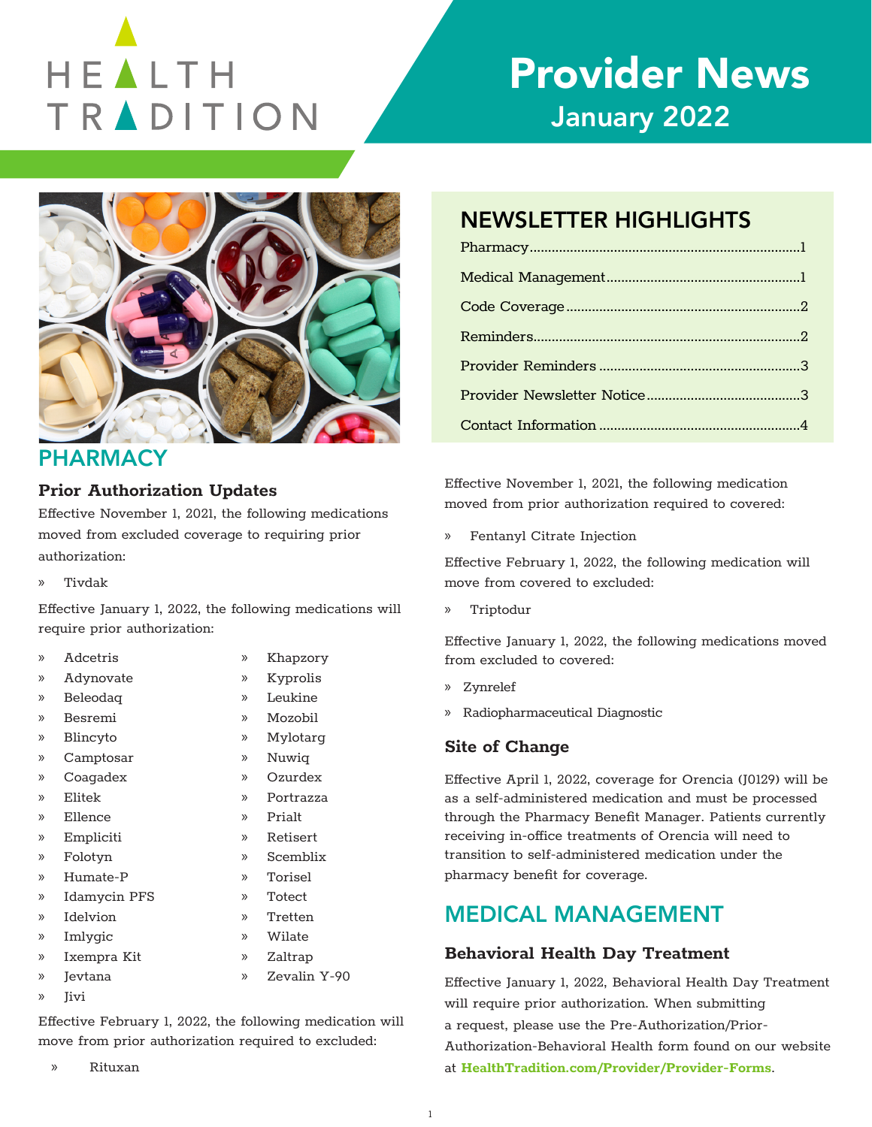# HEALTH TRADITION

# Provider News January 2022



# **PHARMACY**

#### **Prior Authorization Updates**

Effective November 1, 2021, the following medications moved from excluded coverage to requiring prior authorization:

» Tivdak

Effective January 1, 2022, the following medications will require prior authorization:

> » Khapzory » Kyprolis » Leukine » Mozobil » Mylotarg » Nuwiq » Ozurdex » Portrazza » Prialt » Retisert » Scemblix

- » Adcetris
- » Adynovate
- » Beleodaq
- » Besremi
- » Blincyto
- » Camptosar
- » Coagadex
- » Elitek
- » Ellence
- » Empliciti
- » Folotyn
- » Humate-P
- » Idamycin PFS
- » Idelvion
- » Torisel » Totect
- » Tretten
- » Imlygic » Wilate
- » Ixempra Kit » Zaltrap
- » Jevtana » Zevalin Y-90
- » Jivi

Effective February 1, 2022, the following medication will move from prior authorization required to excluded:

» Rituxan

# NEWSLETTER HIGHLIGHTS

Effective November 1, 2021, the following medication moved from prior authorization required to covered:

» Fentanyl Citrate Injection

Effective February 1, 2022, the following medication will move from covered to excluded:

» Triptodur

Effective January 1, 2022, the following medications moved from excluded to covered:

- » Zynrelef
- » Radiopharmaceutical Diagnostic

#### **Site of Change**

Effective April 1, 2022, coverage for Orencia (J0129) will be as a self-administered medication and must be processed through the Pharmacy Benefit Manager. Patients currently receiving in-office treatments of Orencia will need to transition to self-administered medication under the pharmacy benefit for coverage.

# MEDICAL MANAGEMENT

#### **Behavioral Health Day Treatment**

Effective January 1, 2022, Behavioral Health Day Treatment will require prior authorization. When submitting a request, please use the Pre-Authorization/Prior-Authorization-Behavioral Health form found on our website at **[HealthTradition.com/Provider/Provider-Forms](https://HealthTradition.com/Provider/Provider-Forms)**.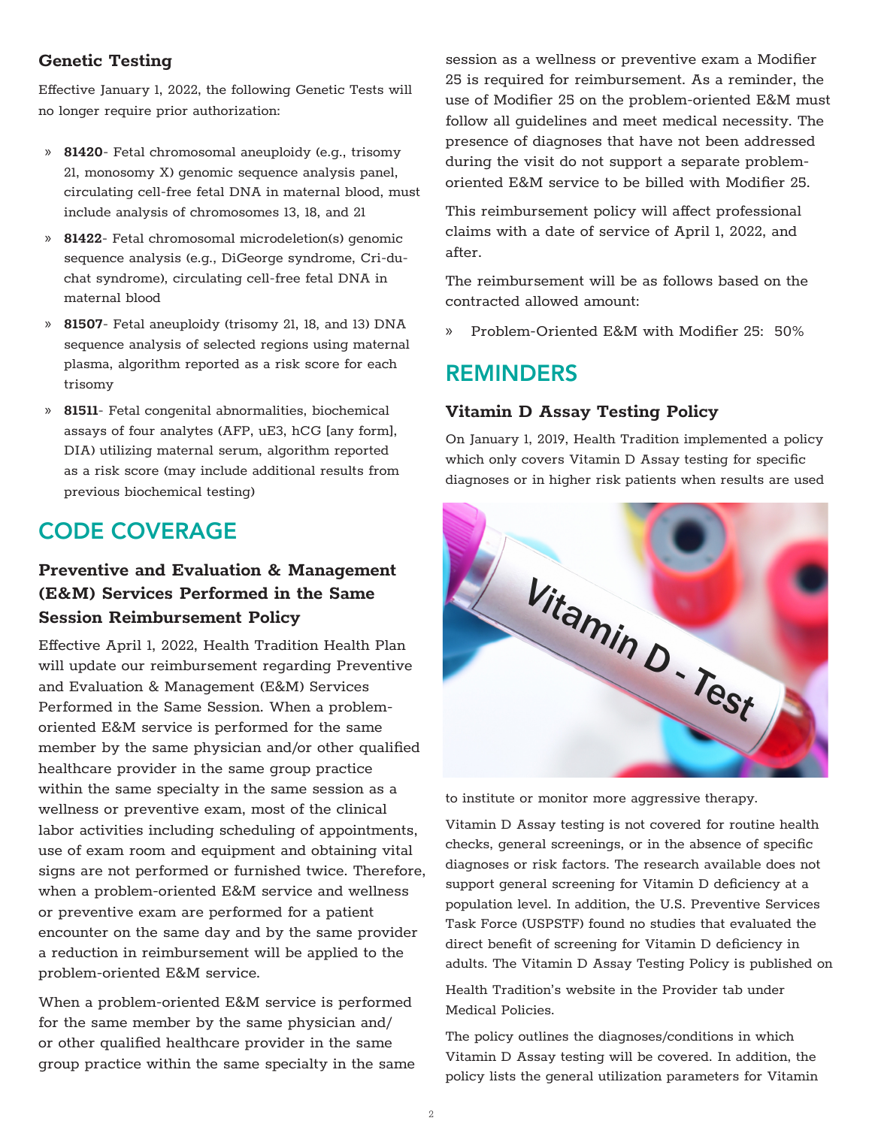#### **Genetic Testing**

Effective January 1, 2022, the following Genetic Tests will no longer require prior authorization:

- » **81420** Fetal chromosomal aneuploidy (e.g., trisomy 21, monosomy X) genomic sequence analysis panel, circulating cell-free fetal DNA in maternal blood, must include analysis of chromosomes 13, 18, and 21
- » **81422** Fetal chromosomal microdeletion(s) genomic sequence analysis (e.g., DiGeorge syndrome, Cri-duchat syndrome), circulating cell-free fetal DNA in maternal blood
- » **81507** Fetal aneuploidy (trisomy 21, 18, and 13) DNA sequence analysis of selected regions using maternal plasma, algorithm reported as a risk score for each trisomy
- » **81511** Fetal congenital abnormalities, biochemical assays of four analytes (AFP, uE3, hCG [any form], DIA) utilizing maternal serum, algorithm reported as a risk score (may include additional results from previous biochemical testing)

# CODE COVERAGE

### **Preventive and Evaluation & Management (E&M) Services Performed in the Same Session Reimbursement Policy**

Effective April 1, 2022, Health Tradition Health Plan will update our reimbursement regarding Preventive and Evaluation & Management (E&M) Services Performed in the Same Session. When a problemoriented E&M service is performed for the same member by the same physician and/or other qualified healthcare provider in the same group practice within the same specialty in the same session as a wellness or preventive exam, most of the clinical labor activities including scheduling of appointments, use of exam room and equipment and obtaining vital signs are not performed or furnished twice. Therefore, when a problem-oriented E&M service and wellness or preventive exam are performed for a patient encounter on the same day and by the same provider a reduction in reimbursement will be applied to the problem-oriented E&M service.

When a problem-oriented E&M service is performed for the same member by the same physician and/ or other qualified healthcare provider in the same group practice within the same specialty in the same session as a wellness or preventive exam a Modifier 25 is required for reimbursement. As a reminder, the use of Modifier 25 on the problem-oriented E&M must follow all guidelines and meet medical necessity. The presence of diagnoses that have not been addressed during the visit do not support a separate problemoriented E&M service to be billed with Modifier 25.

This reimbursement policy will affect professional claims with a date of service of April 1, 2022, and after.

The reimbursement will be as follows based on the contracted allowed amount:

» Problem-Oriented E&M with Modifier 25: 50%

# REMINDERS

#### **Vitamin D Assay Testing Policy**

On January 1, 2019, Health Tradition implemented a policy which only covers Vitamin D Assay testing for specific diagnoses or in higher risk patients when results are used



to institute or monitor more aggressive therapy.

Vitamin D Assay testing is not covered for routine health checks, general screenings, or in the absence of specific diagnoses or risk factors. The research available does not support general screening for Vitamin D deficiency at a population level. In addition, the U.S. Preventive Services Task Force (USPSTF) found no studies that evaluated the direct benefit of screening for Vitamin D deficiency in adults. The Vitamin D Assay Testing Policy is published on

Health Tradition's website in the Provider tab under Medical Policies.

The policy outlines the diagnoses/conditions in which Vitamin D Assay testing will be covered. In addition, the policy lists the general utilization parameters for Vitamin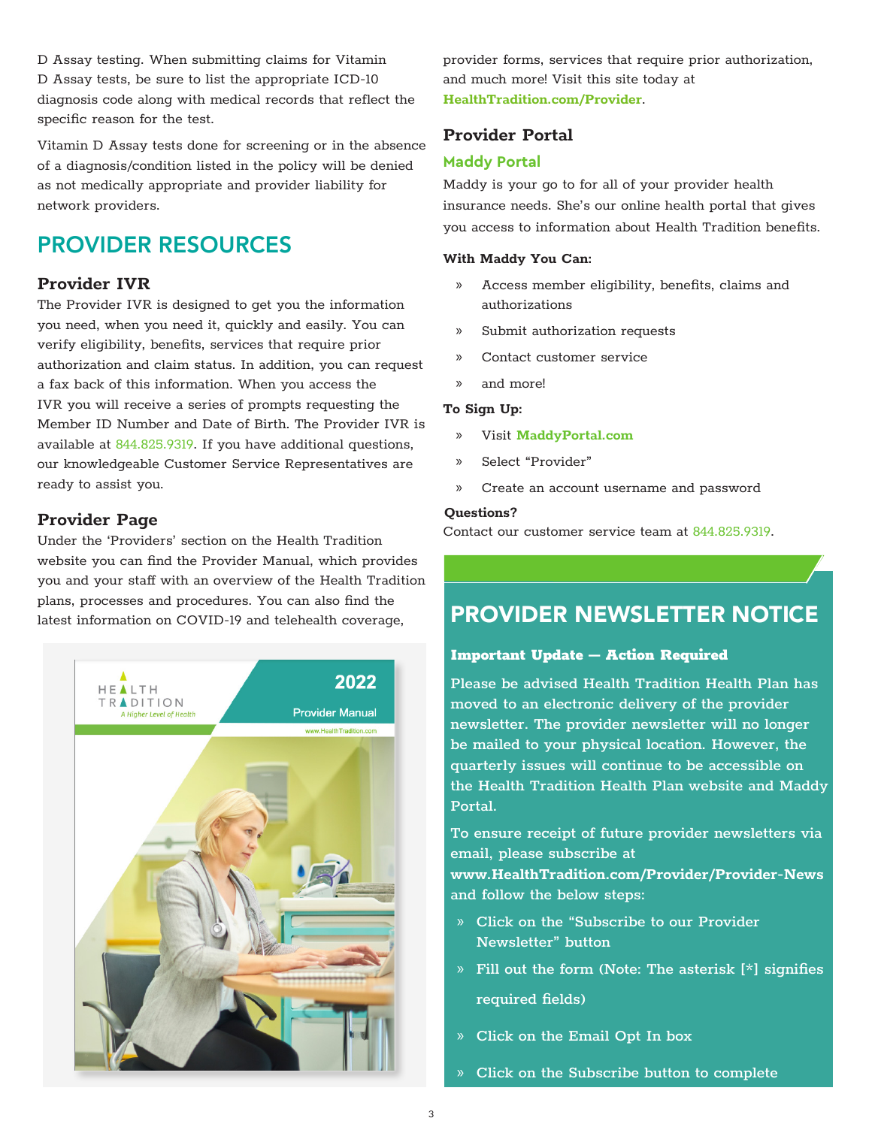D Assay testing. When submitting claims for Vitamin D Assay tests, be sure to list the appropriate ICD-10 diagnosis code along with medical records that reflect the specific reason for the test.

Vitamin D Assay tests done for screening or in the absence of a diagnosis/condition listed in the policy will be denied as not medically appropriate and provider liability for network providers.

# PROVIDER RESOURCES

#### **Provider IVR**

The Provider IVR is designed to get you the information you need, when you need it, quickly and easily. You can verify eligibility, benefits, services that require prior authorization and claim status. In addition, you can request a fax back of this information. When you access the IVR you will receive a series of prompts requesting the Member ID Number and Date of Birth. The Provider IVR is available at 844.825.9319. If you have additional questions, our knowledgeable Customer Service Representatives are ready to assist you.

#### **Provider Page**

Under the 'Providers' section on the Health Tradition website you can find the Provider Manual, which provides you and your staff with an overview of the Health Tradition plans, processes and procedures. You can also find the latest information on COVID-19 and telehealth coverage,



provider forms, services that require prior authorization, and much more! Visit this site today at **[HealthTradition.com/Provider](https://HealthTradition.com/Provider)**.

#### **Provider Portal**

#### **Maddy Portal**

Maddy is your go to for all of your provider health insurance needs. She's our online health portal that gives you access to information about Health Tradition benefits.

#### **With Maddy You Can:**

- » Access member eligibility, benefits, claims and authorizations
- » Submit authorization requests
- » Contact customer service
- » and more!

#### **To Sign Up:**

- » Visit **[MaddyPortal.com](https://MaddyPortal.com)**
- » Select "Provider"
- » Create an account username and password

#### **Questions?**

Contact our customer service team at 844.825.9319.

# PROVIDER NEWSLETTER NOTICE

# $\boxed{\phantom{\cdot}}$  Important Update — Action Required  $\boxed{\phantom{\cdot}}$

Please be advised Health Tradition Health Plan has moved to an electronic delivery of the provider newsletter. The provider newsletter will no longer be mailed to your physical location. However, the quarterly issues will continue to be accessible on the Health Tradition Health Plan website and Maddy Portal.

To ensure receipt of future provider newsletters via email, please subscribe at **[www.HealthTradition.com/Provider/Provider-News](https://www.healthtradition.com/provider/provider-news)** and follow the below steps:

- » Click on the "Subscribe to our Provider Newsletter" button
- » Fill out the form (Note: The asterisk [\*] signifies required fields)
- » Click on the Email Opt In box
- » Click on the Subscribe button to complete